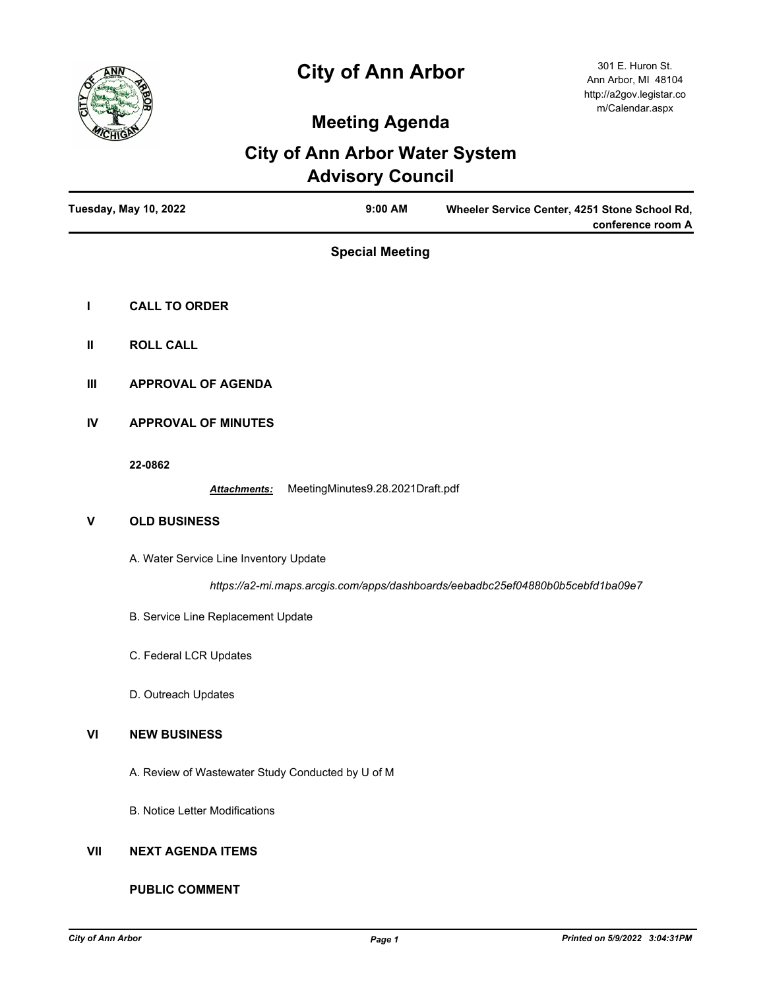# **City of Ann Arbor**



## **Meeting Agenda**

### **City of Ann Arbor Water System Advisory Council**

|     | <b>Tuesday, May 10, 2022</b><br>9:00 AM<br>Wheeler Service Center, 4251 Stone School Rd,<br>conference room A |
|-----|---------------------------------------------------------------------------------------------------------------|
|     | <b>Special Meeting</b>                                                                                        |
| L   | <b>CALL TO ORDER</b>                                                                                          |
| Ш   | <b>ROLL CALL</b>                                                                                              |
| Ш   | <b>APPROVAL OF AGENDA</b>                                                                                     |
| IV  | <b>APPROVAL OF MINUTES</b>                                                                                    |
|     | 22-0862<br>MeetingMinutes9.28.2021Draft.pdf<br>Attachments:                                                   |
| V   | <b>OLD BUSINESS</b>                                                                                           |
|     | A. Water Service Line Inventory Update                                                                        |
|     | https://a2-mi.maps.arcgis.com/apps/dashboards/eebadbc25ef04880b0b5cebfd1ba09e7                                |
|     | B. Service Line Replacement Update                                                                            |
|     | C. Federal LCR Updates                                                                                        |
|     | D. Outreach Updates                                                                                           |
| VI  | <b>NEW BUSINESS</b>                                                                                           |
|     | A. Review of Wastewater Study Conducted by U of M                                                             |
|     | <b>B. Notice Letter Modifications</b>                                                                         |
| VII | <b>NEXT AGENDA ITEMS</b>                                                                                      |

#### **PUBLIC COMMENT**